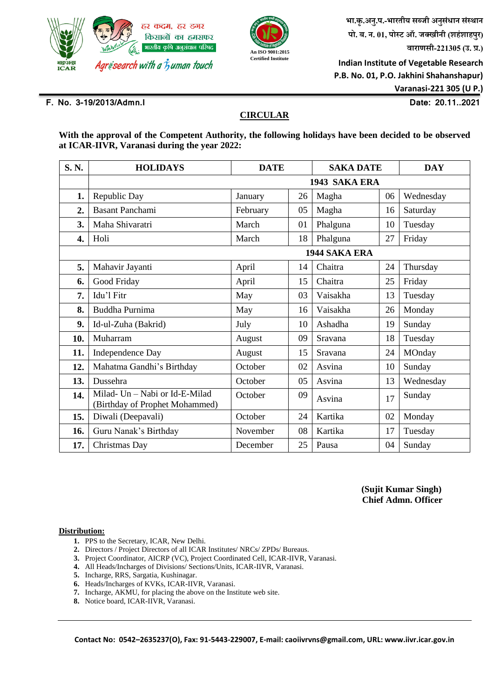



 **भा.कृ.अनु.प.-भारतीय सब्जी अनुसंधान संस्थान पो. ब. न.01, पोस्ट ऑ. जक्खीनी (शहंशाहपुर) वाराणसी-221305 (उ. प्र.)**

 **Indian Institute of Vegetable Research P.B. No. 01, P.O. Jakhini Shahanshapur) Varanasi-221 305 (U P.)**

# **F. No. 3-19/2013/Admn.I Date: 20.11..2021**

# **CIRCULAR**

**With the approval of the Competent Authority, the following holidays have been decided to be observed at ICAR-IIVR, Varanasi during the year 2022:** 

| S.N.             | <b>HOLIDAYS</b>                                                  | <b>DATE</b> |    | <b>SAKA DATE</b> |    | <b>DAY</b> |  |  |  |  |
|------------------|------------------------------------------------------------------|-------------|----|------------------|----|------------|--|--|--|--|
|                  | 1943 SAKA ERA                                                    |             |    |                  |    |            |  |  |  |  |
| 1.               | Republic Day                                                     | January     | 26 | Magha            | 06 | Wednesday  |  |  |  |  |
| $\overline{2}$ . | <b>Basant Panchami</b>                                           | February    | 05 | Magha            | 16 | Saturday   |  |  |  |  |
| 3.               | Maha Shivaratri                                                  | March       | 01 | Phalguna         | 10 | Tuesday    |  |  |  |  |
| 4.               | Holi                                                             | March       | 18 | Phalguna         | 27 | Friday     |  |  |  |  |
|                  | 1944 SAKA ERA                                                    |             |    |                  |    |            |  |  |  |  |
| 5.               | Mahavir Jayanti                                                  | April       | 14 | Chaitra          | 24 | Thursday   |  |  |  |  |
| 6.               | Good Friday                                                      | April       | 15 | Chaitra          | 25 | Friday     |  |  |  |  |
| 7.               | Idu'l Fitr                                                       | May         | 03 | Vaisakha         | 13 | Tuesday    |  |  |  |  |
| 8.               | Buddha Purnima                                                   | May         | 16 | Vaisakha         | 26 | Monday     |  |  |  |  |
| 9.               | Id-ul-Zuha (Bakrid)                                              | July        | 10 | Ashadha          | 19 | Sunday     |  |  |  |  |
| 10.              | Muharram                                                         | August      | 09 | Sravana          | 18 | Tuesday    |  |  |  |  |
| 11.              | Independence Day                                                 | August      | 15 | Sravana          | 24 | MOnday     |  |  |  |  |
| 12.              | Mahatma Gandhi's Birthday                                        | October     | 02 | Asvina           | 10 | Sunday     |  |  |  |  |
| 13.              | Dussehra                                                         | October     | 05 | Asvina           | 13 | Wednesday  |  |  |  |  |
| 14.              | Milad- Un - Nabi or Id-E-Milad<br>(Birthday of Prophet Mohammed) | October     | 09 | Asvina           | 17 | Sunday     |  |  |  |  |
| 15.              | Diwali (Deepavali)                                               | October     | 24 | Kartika          | 02 | Monday     |  |  |  |  |
| 16.              | Guru Nanak's Birthday                                            | November    | 08 | Kartika          | 17 | Tuesday    |  |  |  |  |
| 17.              | Christmas Day                                                    | December    | 25 | Pausa            | 04 | Sunday     |  |  |  |  |

 **(Sujit Kumar Singh) Chief Admn. Officer** 

### **Distribution:**

- **1.** PPS to the Secretary, ICAR, New Delhi.
- **2.** Directors / Project Directors of all ICAR Institutes/ NRCs/ ZPDs/ Bureaus.
- **3.** Project Coordinator, AICRP (VC), Project Coordinated Cell, ICAR-IIVR, Varanasi.
- **4.** All Heads/Incharges of Divisions/ Sections/Units, ICAR-IIVR, Varanasi.
- **5.** Incharge, RRS, Sargatia, Kushinagar.
- **6.** Heads/Incharges of KVKs, ICAR-IIVR, Varanasi.
- **7.** Incharge, AKMU, for placing the above on the Institute web site.
- **8.** Notice board, ICAR-IIVR, Varanasi.

**Contact No: 0542–2635237(O), Fax: 91-5443-229007, E-mail: caoiivrvns@gmail.com, URL: www.iivr.icar.gov.in**